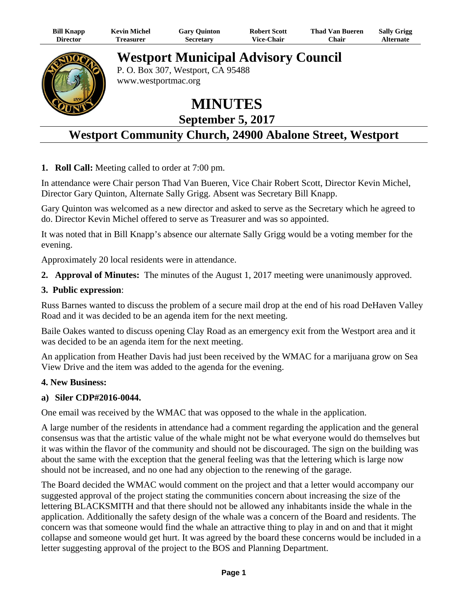| <b>Bill Knapp</b> | <b>Kevin Michel</b>                                                                | <b>Gary Quinton</b> | <b>Robert Scott</b> | <b>Thad Van Bueren</b> | <b>Sally Grigg</b> |  |
|-------------------|------------------------------------------------------------------------------------|---------------------|---------------------|------------------------|--------------------|--|
| <b>Director</b>   | Treasurer                                                                          | <b>Secretary</b>    | <b>Vice-Chair</b>   | Chair                  | <b>Alternate</b>   |  |
|                   | <b>Westport Municipal Advisory Council</b><br>$D \cap D = 207$ Western $C_A$ 05400 |                     |                     |                        |                    |  |

P. O. Box 307, Westport, CA 95488 www.westportmac.org

**MINUTES** 

**September 5, 2017** 

# **Westport Community Church, 24900 Abalone Street, Westport**

**1. Roll Call:** Meeting called to order at 7:00 pm.

In attendance were Chair person Thad Van Bueren, Vice Chair Robert Scott, Director Kevin Michel, Director Gary Quinton, Alternate Sally Grigg. Absent was Secretary Bill Knapp.

Gary Quinton was welcomed as a new director and asked to serve as the Secretary which he agreed to do. Director Kevin Michel offered to serve as Treasurer and was so appointed.

It was noted that in Bill Knapp's absence our alternate Sally Grigg would be a voting member for the evening.

Approximately 20 local residents were in attendance.

**2. Approval of Minutes:** The minutes of the August 1, 2017 meeting were unanimously approved.

### **3. Public expression**:

Russ Barnes wanted to discuss the problem of a secure mail drop at the end of his road DeHaven Valley Road and it was decided to be an agenda item for the next meeting.

Baile Oakes wanted to discuss opening Clay Road as an emergency exit from the Westport area and it was decided to be an agenda item for the next meeting.

An application from Heather Davis had just been received by the WMAC for a marijuana grow on Sea View Drive and the item was added to the agenda for the evening.

## **4. New Business:**

#### **a) Siler CDP#2016-0044.**

One email was received by the WMAC that was opposed to the whale in the application.

A large number of the residents in attendance had a comment regarding the application and the general consensus was that the artistic value of the whale might not be what everyone would do themselves but it was within the flavor of the community and should not be discouraged. The sign on the building was about the same with the exception that the general feeling was that the lettering which is large now should not be increased, and no one had any objection to the renewing of the garage.

The Board decided the WMAC would comment on the project and that a letter would accompany our suggested approval of the project stating the communities concern about increasing the size of the lettering BLACKSMITH and that there should not be allowed any inhabitants inside the whale in the application. Additionally the safety design of the whale was a concern of the Board and residents. The concern was that someone would find the whale an attractive thing to play in and on and that it might collapse and someone would get hurt. It was agreed by the board these concerns would be included in a letter suggesting approval of the project to the BOS and Planning Department.